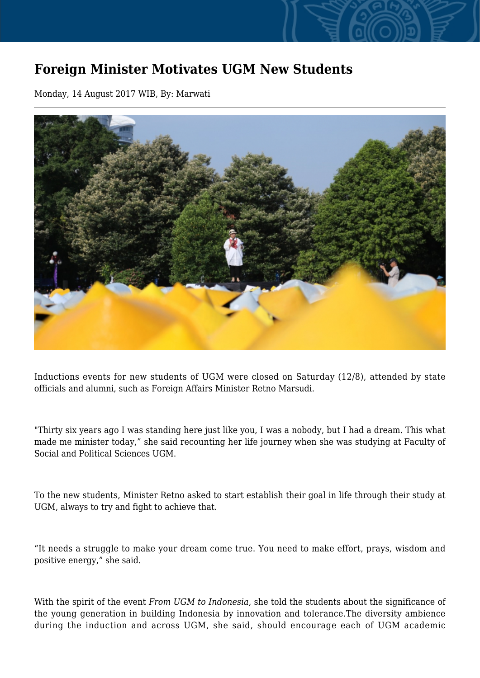## **Foreign Minister Motivates UGM New Students**

Monday, 14 August 2017 WIB, By: Marwati



Inductions events for new students of UGM were closed on Saturday (12/8), attended by state officials and alumni, such as Foreign Affairs Minister Retno Marsudi.

"Thirty six years ago I was standing here just like you, I was a nobody, but I had a dream. This what made me minister today," she said recounting her life journey when she was studying at Faculty of Social and Political Sciences UGM.

To the new students, Minister Retno asked to start establish their goal in life through their study at UGM, always to try and fight to achieve that.

"It needs a struggle to make your dream come true. You need to make effort, prays, wisdom and positive energy," she said.

With the spirit of the event *From UGM to Indonesia*, she told the students about the significance of the young generation in building Indonesia by innovation and tolerance.The diversity ambience during the induction and across UGM, she said, should encourage each of UGM academic